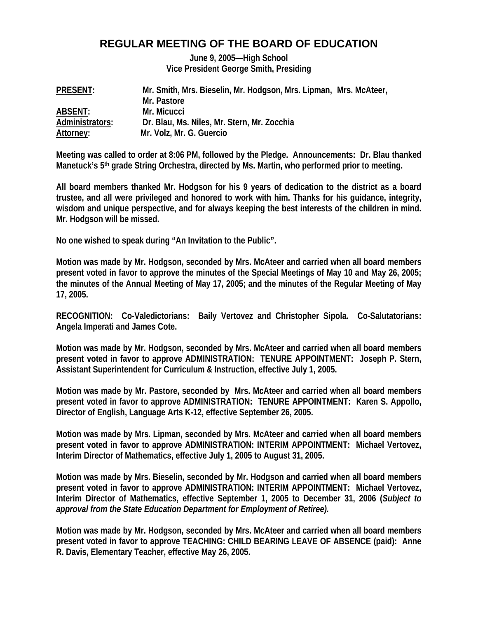# **REGULAR MEETING OF THE BOARD OF EDUCATION**

**June 9, 2005—High School Vice President George Smith, Presiding** 

| <b>PRESENT:</b> | Mr. Smith, Mrs. Bieselin, Mr. Hodgson, Mrs. Lipman, Mrs. McAteer, |
|-----------------|-------------------------------------------------------------------|
|                 | Mr. Pastore                                                       |
| <b>ABSENT:</b>  | Mr. Micucci                                                       |
| Administrators: | Dr. Blau, Ms. Niles, Mr. Stern, Mr. Zocchia                       |
| Attorney:       | Mr. Volz, Mr. G. Guercio                                          |

**Meeting was called to order at 8:06 PM, followed by the Pledge. Announcements: Dr. Blau thanked Manetuck's 5th grade String Orchestra, directed by Ms. Martin, who performed prior to meeting.** 

**All board members thanked Mr. Hodgson for his 9 years of dedication to the district as a board trustee, and all were privileged and honored to work with him. Thanks for his guidance, integrity, wisdom and unique perspective, and for always keeping the best interests of the children in mind. Mr. Hodgson will be missed.** 

**No one wished to speak during "An Invitation to the Public".** 

**Motion was made by Mr. Hodgson, seconded by Mrs. McAteer and carried when all board members present voted in favor to approve the minutes of the Special Meetings of May 10 and May 26, 2005; the minutes of the Annual Meeting of May 17, 2005; and the minutes of the Regular Meeting of May 17, 2005.** 

**RECOGNITION: Co-Valedictorians: Baily Vertovez and Christopher Sipola. Co-Salutatorians: Angela Imperati and James Cote.** 

**Motion was made by Mr. Hodgson, seconded by Mrs. McAteer and carried when all board members present voted in favor to approve ADMINISTRATION: TENURE APPOINTMENT: Joseph P. Stern, Assistant Superintendent for Curriculum & Instruction, effective July 1, 2005.** 

**Motion was made by Mr. Pastore, seconded by Mrs. McAteer and carried when all board members present voted in favor to approve ADMINISTRATION: TENURE APPOINTMENT: Karen S. Appollo, Director of English, Language Arts K-12, effective September 26, 2005.** 

**Motion was made by Mrs. Lipman, seconded by Mrs. McAteer and carried when all board members present voted in favor to approve ADMINISTRATION: INTERIM APPOINTMENT: Michael Vertovez, Interim Director of Mathematics, effective July 1, 2005 to August 31, 2005.** 

**Motion was made by Mrs. Bieselin, seconded by Mr. Hodgson and carried when all board members present voted in favor to approve ADMINISTRATION: INTERIM APPOINTMENT: Michael Vertovez, Interim Director of Mathematics, effective September 1, 2005 to December 31, 2006 (***Subject to approval from the State Education Department for Employment of Retiree).* 

**Motion was made by Mr. Hodgson, seconded by Mrs. McAteer and carried when all board members present voted in favor to approve TEACHING: CHILD BEARING LEAVE OF ABSENCE (paid): Anne R. Davis, Elementary Teacher, effective May 26, 2005.**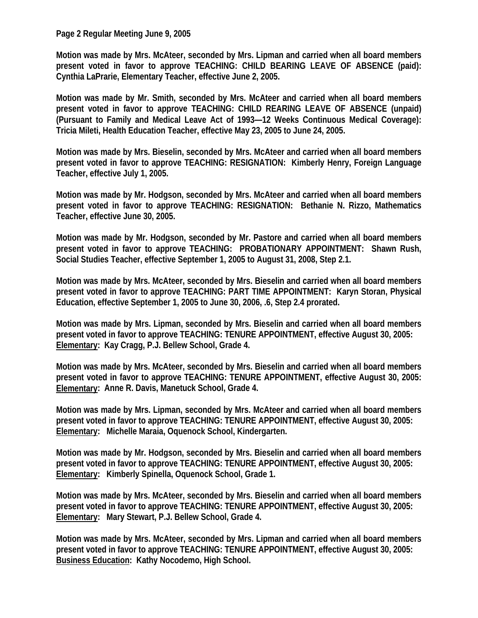## **Page 2 Regular Meeting June 9, 2005**

**Motion was made by Mrs. McAteer, seconded by Mrs. Lipman and carried when all board members present voted in favor to approve TEACHING: CHILD BEARING LEAVE OF ABSENCE (paid): Cynthia LaPrarie, Elementary Teacher, effective June 2, 2005.** 

**Motion was made by Mr. Smith, seconded by Mrs. McAteer and carried when all board members present voted in favor to approve TEACHING: CHILD REARING LEAVE OF ABSENCE (unpaid) (Pursuant to Family and Medical Leave Act of 1993—12 Weeks Continuous Medical Coverage): Tricia Mileti, Health Education Teacher, effective May 23, 2005 to June 24, 2005.** 

**Motion was made by Mrs. Bieselin, seconded by Mrs. McAteer and carried when all board members present voted in favor to approve TEACHING: RESIGNATION: Kimberly Henry, Foreign Language Teacher, effective July 1, 2005.** 

**Motion was made by Mr. Hodgson, seconded by Mrs. McAteer and carried when all board members present voted in favor to approve TEACHING: RESIGNATION: Bethanie N. Rizzo, Mathematics Teacher, effective June 30, 2005.** 

**Motion was made by Mr. Hodgson, seconded by Mr. Pastore and carried when all board members present voted in favor to approve TEACHING: PROBATIONARY APPOINTMENT: Shawn Rush, Social Studies Teacher, effective September 1, 2005 to August 31, 2008, Step 2.1.** 

**Motion was made by Mrs. McAteer, seconded by Mrs. Bieselin and carried when all board members present voted in favor to approve TEACHING: PART TIME APPOINTMENT: Karyn Storan, Physical Education, effective September 1, 2005 to June 30, 2006, .6, Step 2.4 prorated.** 

**Motion was made by Mrs. Lipman, seconded by Mrs. Bieselin and carried when all board members present voted in favor to approve TEACHING: TENURE APPOINTMENT, effective August 30, 2005: Elementary: Kay Cragg, P.J. Bellew School, Grade 4.** 

**Motion was made by Mrs. McAteer, seconded by Mrs. Bieselin and carried when all board members present voted in favor to approve TEACHING: TENURE APPOINTMENT, effective August 30, 2005: Elementary: Anne R. Davis, Manetuck School, Grade 4.** 

**Motion was made by Mrs. Lipman, seconded by Mrs. McAteer and carried when all board members present voted in favor to approve TEACHING: TENURE APPOINTMENT, effective August 30, 2005: Elementary: Michelle Maraia, Oquenock School, Kindergarten.** 

**Motion was made by Mr. Hodgson, seconded by Mrs. Bieselin and carried when all board members present voted in favor to approve TEACHING: TENURE APPOINTMENT, effective August 30, 2005: Elementary: Kimberly Spinella, Oquenock School, Grade 1.** 

**Motion was made by Mrs. McAteer, seconded by Mrs. Bieselin and carried when all board members present voted in favor to approve TEACHING: TENURE APPOINTMENT, effective August 30, 2005: Elementary: Mary Stewart, P.J. Bellew School, Grade 4.** 

**Motion was made by Mrs. McAteer, seconded by Mrs. Lipman and carried when all board members present voted in favor to approve TEACHING: TENURE APPOINTMENT, effective August 30, 2005: Business Education: Kathy Nocodemo, High School.**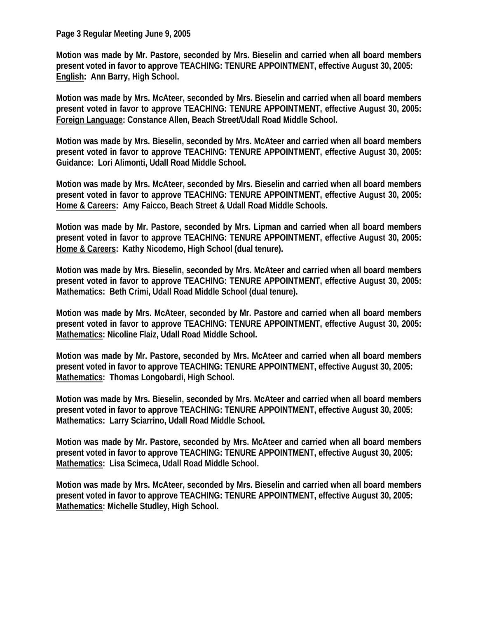### **Page 3 Regular Meeting June 9, 2005**

**Motion was made by Mr. Pastore, seconded by Mrs. Bieselin and carried when all board members present voted in favor to approve TEACHING: TENURE APPOINTMENT, effective August 30, 2005: English: Ann Barry, High School.** 

**Motion was made by Mrs. McAteer, seconded by Mrs. Bieselin and carried when all board members present voted in favor to approve TEACHING: TENURE APPOINTMENT, effective August 30, 2005: Foreign Language: Constance Allen, Beach Street/Udall Road Middle School.** 

**Motion was made by Mrs. Bieselin, seconded by Mrs. McAteer and carried when all board members present voted in favor to approve TEACHING: TENURE APPOINTMENT, effective August 30, 2005: Guidance: Lori Alimonti, Udall Road Middle School.** 

**Motion was made by Mrs. McAteer, seconded by Mrs. Bieselin and carried when all board members present voted in favor to approve TEACHING: TENURE APPOINTMENT, effective August 30, 2005: Home & Careers: Amy Faicco, Beach Street & Udall Road Middle Schools.** 

**Motion was made by Mr. Pastore, seconded by Mrs. Lipman and carried when all board members present voted in favor to approve TEACHING: TENURE APPOINTMENT, effective August 30, 2005: Home & Careers: Kathy Nicodemo, High School (dual tenure).** 

**Motion was made by Mrs. Bieselin, seconded by Mrs. McAteer and carried when all board members present voted in favor to approve TEACHING: TENURE APPOINTMENT, effective August 30, 2005: Mathematics: Beth Crimi, Udall Road Middle School (dual tenure).** 

**Motion was made by Mrs. McAteer, seconded by Mr. Pastore and carried when all board members present voted in favor to approve TEACHING: TENURE APPOINTMENT, effective August 30, 2005: Mathematics: Nicoline Flaiz, Udall Road Middle School.** 

**Motion was made by Mr. Pastore, seconded by Mrs. McAteer and carried when all board members present voted in favor to approve TEACHING: TENURE APPOINTMENT, effective August 30, 2005: Mathematics: Thomas Longobardi, High School.** 

**Motion was made by Mrs. Bieselin, seconded by Mrs. McAteer and carried when all board members present voted in favor to approve TEACHING: TENURE APPOINTMENT, effective August 30, 2005: Mathematics: Larry Sciarrino, Udall Road Middle School.** 

**Motion was made by Mr. Pastore, seconded by Mrs. McAteer and carried when all board members present voted in favor to approve TEACHING: TENURE APPOINTMENT, effective August 30, 2005: Mathematics: Lisa Scimeca, Udall Road Middle School.** 

**Motion was made by Mrs. McAteer, seconded by Mrs. Bieselin and carried when all board members present voted in favor to approve TEACHING: TENURE APPOINTMENT, effective August 30, 2005: Mathematics: Michelle Studley, High School.**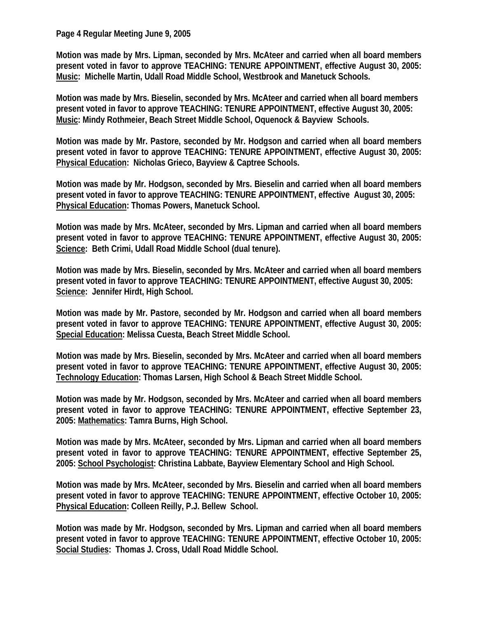**Page 4 Regular Meeting June 9, 2005** 

**Motion was made by Mrs. Lipman, seconded by Mrs. McAteer and carried when all board members present voted in favor to approve TEACHING: TENURE APPOINTMENT, effective August 30, 2005: Music: Michelle Martin, Udall Road Middle School, Westbrook and Manetuck Schools.** 

**Motion was made by Mrs. Bieselin, seconded by Mrs. McAteer and carried when all board members present voted in favor to approve TEACHING: TENURE APPOINTMENT, effective August 30, 2005: Music: Mindy Rothmeier, Beach Street Middle School, Oquenock & Bayview Schools.** 

**Motion was made by Mr. Pastore, seconded by Mr. Hodgson and carried when all board members present voted in favor to approve TEACHING: TENURE APPOINTMENT, effective August 30, 2005: Physical Education: Nicholas Grieco, Bayview & Captree Schools.** 

**Motion was made by Mr. Hodgson, seconded by Mrs. Bieselin and carried when all board members present voted in favor to approve TEACHING: TENURE APPOINTMENT, effective August 30, 2005: Physical Education: Thomas Powers, Manetuck School.** 

**Motion was made by Mrs. McAteer, seconded by Mrs. Lipman and carried when all board members present voted in favor to approve TEACHING: TENURE APPOINTMENT, effective August 30, 2005: Science: Beth Crimi, Udall Road Middle School (dual tenure).** 

**Motion was made by Mrs. Bieselin, seconded by Mrs. McAteer and carried when all board members present voted in favor to approve TEACHING: TENURE APPOINTMENT, effective August 30, 2005: Science: Jennifer Hirdt, High School.** 

**Motion was made by Mr. Pastore, seconded by Mr. Hodgson and carried when all board members present voted in favor to approve TEACHING: TENURE APPOINTMENT, effective August 30, 2005: Special Education: Melissa Cuesta, Beach Street Middle School.** 

**Motion was made by Mrs. Bieselin, seconded by Mrs. McAteer and carried when all board members present voted in favor to approve TEACHING: TENURE APPOINTMENT, effective August 30, 2005: Technology Education: Thomas Larsen, High School & Beach Street Middle School.** 

**Motion was made by Mr. Hodgson, seconded by Mrs. McAteer and carried when all board members present voted in favor to approve TEACHING: TENURE APPOINTMENT, effective September 23, 2005: Mathematics: Tamra Burns, High School.** 

**Motion was made by Mrs. McAteer, seconded by Mrs. Lipman and carried when all board members present voted in favor to approve TEACHING: TENURE APPOINTMENT, effective September 25, 2005: School Psychologist: Christina Labbate, Bayview Elementary School and High School.** 

**Motion was made by Mrs. McAteer, seconded by Mrs. Bieselin and carried when all board members present voted in favor to approve TEACHING: TENURE APPOINTMENT, effective October 10, 2005: Physical Education: Colleen Reilly, P.J. Bellew School.** 

**Motion was made by Mr. Hodgson, seconded by Mrs. Lipman and carried when all board members present voted in favor to approve TEACHING: TENURE APPOINTMENT, effective October 10, 2005: Social Studies: Thomas J. Cross, Udall Road Middle School.**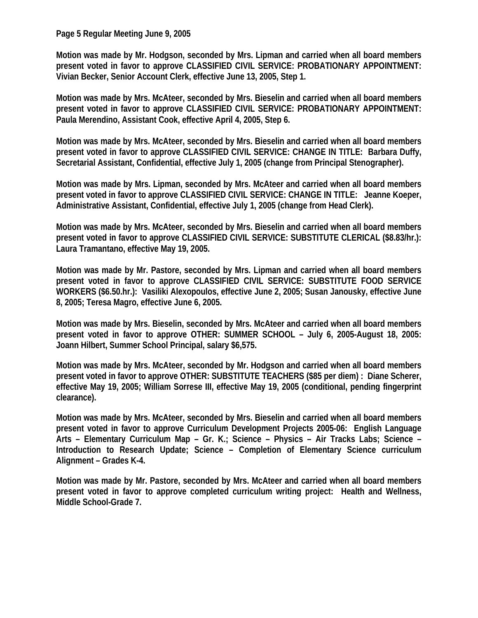**Page 5 Regular Meeting June 9, 2005** 

**Motion was made by Mr. Hodgson, seconded by Mrs. Lipman and carried when all board members present voted in favor to approve CLASSIFIED CIVIL SERVICE: PROBATIONARY APPOINTMENT: Vivian Becker, Senior Account Clerk, effective June 13, 2005, Step 1.** 

**Motion was made by Mrs. McAteer, seconded by Mrs. Bieselin and carried when all board members present voted in favor to approve CLASSIFIED CIVIL SERVICE: PROBATIONARY APPOINTMENT: Paula Merendino, Assistant Cook, effective April 4, 2005, Step 6.** 

**Motion was made by Mrs. McAteer, seconded by Mrs. Bieselin and carried when all board members present voted in favor to approve CLASSIFIED CIVIL SERVICE: CHANGE IN TITLE: Barbara Duffy, Secretarial Assistant, Confidential, effective July 1, 2005 (change from Principal Stenographer).** 

**Motion was made by Mrs. Lipman, seconded by Mrs. McAteer and carried when all board members present voted in favor to approve CLASSIFIED CIVIL SERVICE: CHANGE IN TITLE: Jeanne Koeper, Administrative Assistant, Confidential, effective July 1, 2005 (change from Head Clerk).** 

**Motion was made by Mrs. McAteer, seconded by Mrs. Bieselin and carried when all board members present voted in favor to approve CLASSIFIED CIVIL SERVICE: SUBSTITUTE CLERICAL (\$8.83/hr.): Laura Tramantano, effective May 19, 2005.** 

**Motion was made by Mr. Pastore, seconded by Mrs. Lipman and carried when all board members present voted in favor to approve CLASSIFIED CIVIL SERVICE: SUBSTITUTE FOOD SERVICE WORKERS (\$6.50.hr.): Vasiliki Alexopoulos, effective June 2, 2005; Susan Janousky, effective June 8, 2005; Teresa Magro, effective June 6, 2005.** 

**Motion was made by Mrs. Bieselin, seconded by Mrs. McAteer and carried when all board members present voted in favor to approve OTHER: SUMMER SCHOOL – July 6, 2005-August 18, 2005: Joann Hilbert, Summer School Principal, salary \$6,575.** 

**Motion was made by Mrs. McAteer, seconded by Mr. Hodgson and carried when all board members present voted in favor to approve OTHER: SUBSTITUTE TEACHERS (\$85 per diem) : Diane Scherer, effective May 19, 2005; William Sorrese III, effective May 19, 2005 (conditional, pending fingerprint clearance).** 

**Motion was made by Mrs. McAteer, seconded by Mrs. Bieselin and carried when all board members present voted in favor to approve Curriculum Development Projects 2005-06: English Language Arts – Elementary Curriculum Map – Gr. K.; Science – Physics – Air Tracks Labs; Science – Introduction to Research Update; Science – Completion of Elementary Science curriculum Alignment – Grades K-4.** 

**Motion was made by Mr. Pastore, seconded by Mrs. McAteer and carried when all board members present voted in favor to approve completed curriculum writing project: Health and Wellness, Middle School-Grade 7.**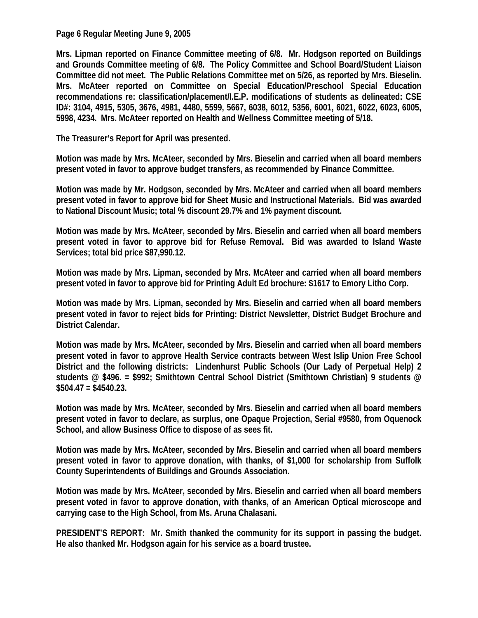**Page 6 Regular Meeting June 9, 2005** 

**Mrs. Lipman reported on Finance Committee meeting of 6/8. Mr. Hodgson reported on Buildings and Grounds Committee meeting of 6/8. The Policy Committee and School Board/Student Liaison Committee did not meet. The Public Relations Committee met on 5/26, as reported by Mrs. Bieselin. Mrs. McAteer reported on Committee on Special Education/Preschool Special Education recommendations re: classification/placement/I.E.P. modifications of students as delineated: CSE ID#: 3104, 4915, 5305, 3676, 4981, 4480, 5599, 5667, 6038, 6012, 5356, 6001, 6021, 6022, 6023, 6005, 5998, 4234. Mrs. McAteer reported on Health and Wellness Committee meeting of 5/18.** 

**The Treasurer's Report for April was presented.** 

**Motion was made by Mrs. McAteer, seconded by Mrs. Bieselin and carried when all board members present voted in favor to approve budget transfers, as recommended by Finance Committee.** 

**Motion was made by Mr. Hodgson, seconded by Mrs. McAteer and carried when all board members present voted in favor to approve bid for Sheet Music and Instructional Materials. Bid was awarded to National Discount Music; total % discount 29.7% and 1% payment discount.** 

**Motion was made by Mrs. McAteer, seconded by Mrs. Bieselin and carried when all board members present voted in favor to approve bid for Refuse Removal. Bid was awarded to Island Waste Services; total bid price \$87,990.12.** 

**Motion was made by Mrs. Lipman, seconded by Mrs. McAteer and carried when all board members present voted in favor to approve bid for Printing Adult Ed brochure: \$1617 to Emory Litho Corp.** 

**Motion was made by Mrs. Lipman, seconded by Mrs. Bieselin and carried when all board members present voted in favor to reject bids for Printing: District Newsletter, District Budget Brochure and District Calendar.** 

**Motion was made by Mrs. McAteer, seconded by Mrs. Bieselin and carried when all board members present voted in favor to approve Health Service contracts between West Islip Union Free School District and the following districts: Lindenhurst Public Schools (Our Lady of Perpetual Help) 2 students @ \$496. = \$992; Smithtown Central School District (Smithtown Christian) 9 students @ \$504.47 = \$4540.23.** 

**Motion was made by Mrs. McAteer, seconded by Mrs. Bieselin and carried when all board members present voted in favor to declare, as surplus, one Opaque Projection, Serial #9580, from Oquenock School, and allow Business Office to dispose of as sees fit.** 

**Motion was made by Mrs. McAteer, seconded by Mrs. Bieselin and carried when all board members present voted in favor to approve donation, with thanks, of \$1,000 for scholarship from Suffolk County Superintendents of Buildings and Grounds Association.** 

**Motion was made by Mrs. McAteer, seconded by Mrs. Bieselin and carried when all board members present voted in favor to approve donation, with thanks, of an American Optical microscope and carrying case to the High School, from Ms. Aruna Chalasani.** 

**PRESIDENT'S REPORT: Mr. Smith thanked the community for its support in passing the budget. He also thanked Mr. Hodgson again for his service as a board trustee.**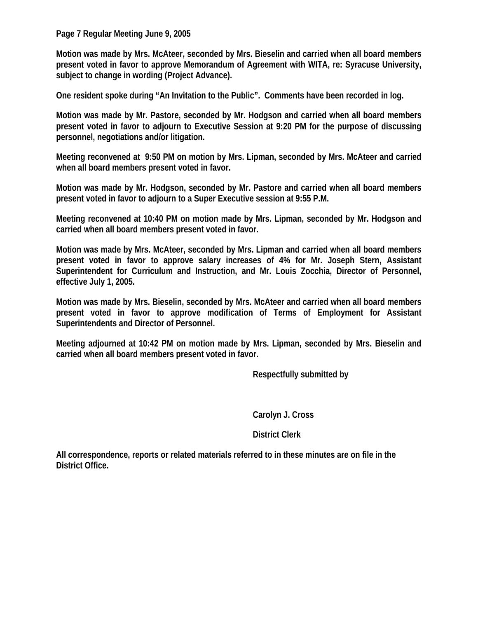**Page 7 Regular Meeting June 9, 2005** 

**Motion was made by Mrs. McAteer, seconded by Mrs. Bieselin and carried when all board members present voted in favor to approve Memorandum of Agreement with WITA, re: Syracuse University, subject to change in wording (Project Advance).** 

**One resident spoke during "An Invitation to the Public". Comments have been recorded in log.** 

**Motion was made by Mr. Pastore, seconded by Mr. Hodgson and carried when all board members present voted in favor to adjourn to Executive Session at 9:20 PM for the purpose of discussing personnel, negotiations and/or litigation.** 

**Meeting reconvened at 9:50 PM on motion by Mrs. Lipman, seconded by Mrs. McAteer and carried when all board members present voted in favor.** 

**Motion was made by Mr. Hodgson, seconded by Mr. Pastore and carried when all board members present voted in favor to adjourn to a Super Executive session at 9:55 P.M.** 

**Meeting reconvened at 10:40 PM on motion made by Mrs. Lipman, seconded by Mr. Hodgson and carried when all board members present voted in favor.** 

**Motion was made by Mrs. McAteer, seconded by Mrs. Lipman and carried when all board members present voted in favor to approve salary increases of 4% for Mr. Joseph Stern, Assistant Superintendent for Curriculum and Instruction, and Mr. Louis Zocchia, Director of Personnel, effective July 1, 2005.** 

**Motion was made by Mrs. Bieselin, seconded by Mrs. McAteer and carried when all board members present voted in favor to approve modification of Terms of Employment for Assistant Superintendents and Director of Personnel.** 

**Meeting adjourned at 10:42 PM on motion made by Mrs. Lipman, seconded by Mrs. Bieselin and carried when all board members present voted in favor.** 

 **Respectfully submitted by** 

 **Carolyn J. Cross** 

 **District Clerk** 

**All correspondence, reports or related materials referred to in these minutes are on file in the District Office.**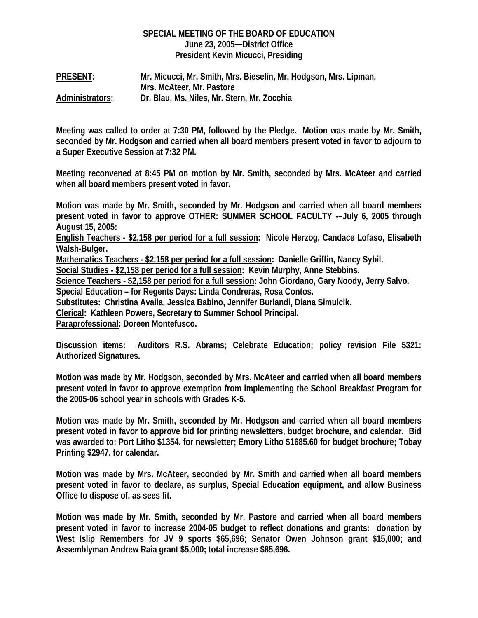# **SPECIAL MEETING OF THE BOARD OF EDUCATION June 23, 2005—District Office President Kevin Micucci, Presiding**

**PRESENT: Mr. Micucci, Mr. Smith, Mrs. Bieselin, Mr. Hodgson, Mrs. Lipman, Mrs. McAteer, Mr. Pastore Administrators: Dr. Blau, Ms. Niles, Mr. Stern, Mr. Zocchia** 

**Meeting was called to order at 7:30 PM, followed by the Pledge. Motion was made by Mr. Smith, seconded by Mr. Hodgson and carried when all board members present voted in favor to adjourn to a Super Executive Session at 7:32 PM.** 

**Meeting reconvened at 8:45 PM on motion by Mr. Smith, seconded by Mrs. McAteer and carried when all board members present voted in favor.** 

**Motion was made by Mr. Smith, seconded by Mr. Hodgson and carried when all board members present voted in favor to approve OTHER: SUMMER SCHOOL FACULTY -–July 6, 2005 through August 15, 2005:** 

**English Teachers - \$2,158 per period for a full session: Nicole Herzog, Candace Lofaso, Elisabeth Walsh-Bulger.** 

**Mathematics Teachers - \$2,158 per period for a full session: Danielle Griffin, Nancy Sybil.** 

**Social Studies - \$2,158 per period for a full session: Kevin Murphy, Anne Stebbins.** 

**Science Teachers - \$2,158 per period for a full session: John Giordano, Gary Noody, Jerry Salvo.** 

**Special Education – for Regents Days: Linda Condreras, Rosa Contos.** 

**Substitutes: Christina Availa, Jessica Babino, Jennifer Burlandi, Diana Simulcik.** 

**Clerical: Kathleen Powers, Secretary to Summer School Principal.** 

**Paraprofessional: Doreen Montefusco.** 

**Discussion items: Auditors R.S. Abrams; Celebrate Education; policy revision File 5321: Authorized Signatures.** 

**Motion was made by Mr. Hodgson, seconded by Mrs. McAteer and carried when all board members present voted in favor to approve exemption from implementing the School Breakfast Program for the 2005-06 school year in schools with Grades K-5.** 

**Motion was made by Mr. Smith, seconded by Mr. Hodgson and carried when all board members present voted in favor to approve bid for printing newsletters, budget brochure, and calendar. Bid was awarded to: Port Litho \$1354. for newsletter; Emory Litho \$1685.60 for budget brochure; Tobay Printing \$2947. for calendar.** 

**Motion was made by Mrs. McAteer, seconded by Mr. Smith and carried when all board members present voted in favor to declare, as surplus, Special Education equipment, and allow Business Office to dispose of, as sees fit.** 

**Motion was made by Mr. Smith, seconded by Mr. Pastore and carried when all board members present voted in favor to increase 2004-05 budget to reflect donations and grants: donation by West Islip Remembers for JV 9 sports \$65,696; Senator Owen Johnson grant \$15,000; and Assemblyman Andrew Raia grant \$5,000; total increase \$85,696.**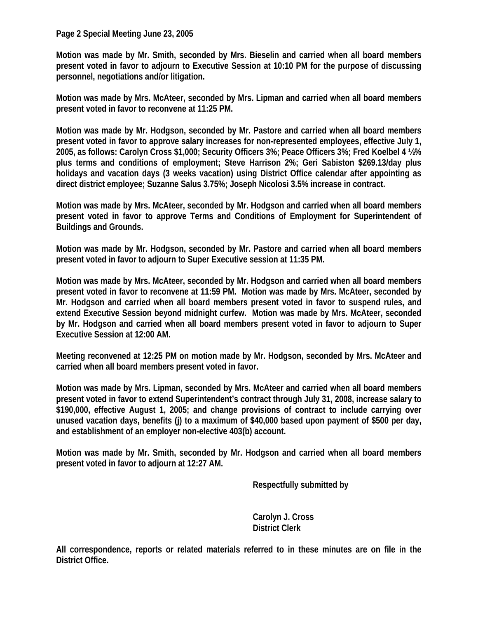## **Page 2 Special Meeting June 23, 2005**

**Motion was made by Mr. Smith, seconded by Mrs. Bieselin and carried when all board members present voted in favor to adjourn to Executive Session at 10:10 PM for the purpose of discussing personnel, negotiations and/or litigation.** 

**Motion was made by Mrs. McAteer, seconded by Mrs. Lipman and carried when all board members present voted in favor to reconvene at 11:25 PM.** 

**Motion was made by Mr. Hodgson, seconded by Mr. Pastore and carried when all board members present voted in favor to approve salary increases for non-represented employees, effective July 1, 2005, as follows: Carolyn Cross \$1,000; Security Officers 3%; Peace Officers 3%; Fred Koelbel 4 ½% plus terms and conditions of employment; Steve Harrison 2%; Geri Sabiston \$269.13/day plus holidays and vacation days (3 weeks vacation) using District Office calendar after appointing as direct district employee; Suzanne Salus 3.75%; Joseph Nicolosi 3.5% increase in contract.** 

**Motion was made by Mrs. McAteer, seconded by Mr. Hodgson and carried when all board members present voted in favor to approve Terms and Conditions of Employment for Superintendent of Buildings and Grounds.** 

**Motion was made by Mr. Hodgson, seconded by Mr. Pastore and carried when all board members present voted in favor to adjourn to Super Executive session at 11:35 PM.** 

**Motion was made by Mrs. McAteer, seconded by Mr. Hodgson and carried when all board members present voted in favor to reconvene at 11:59 PM. Motion was made by Mrs. McAteer, seconded by Mr. Hodgson and carried when all board members present voted in favor to suspend rules, and extend Executive Session beyond midnight curfew. Motion was made by Mrs. McAteer, seconded by Mr. Hodgson and carried when all board members present voted in favor to adjourn to Super Executive Session at 12:00 AM.** 

**Meeting reconvened at 12:25 PM on motion made by Mr. Hodgson, seconded by Mrs. McAteer and carried when all board members present voted in favor.** 

**Motion was made by Mrs. Lipman, seconded by Mrs. McAteer and carried when all board members present voted in favor to extend Superintendent's contract through July 31, 2008, increase salary to \$190,000, effective August 1, 2005; and change provisions of contract to include carrying over unused vacation days, benefits (j) to a maximum of \$40,000 based upon payment of \$500 per day, and establishment of an employer non-elective 403(b) account.** 

**Motion was made by Mr. Smith, seconded by Mr. Hodgson and carried when all board members present voted in favor to adjourn at 12:27 AM.** 

 **Respectfully submitted by** 

 **Carolyn J. Cross District Clerk** 

**All correspondence, reports or related materials referred to in these minutes are on file in the District Office.**